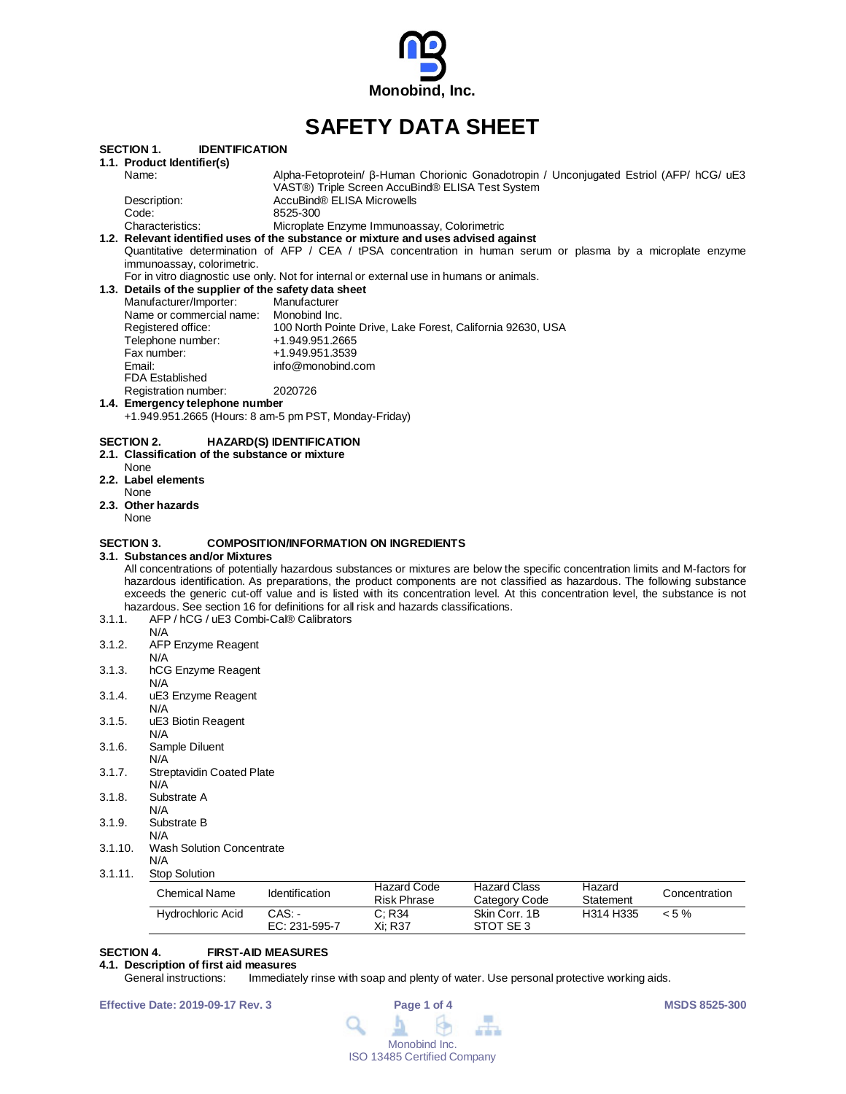

# **SAFETY DATA SHEET**

| <b>SECTION 1.</b> | <b>IDENTIFICATION</b>                                                                                                                                                                                                                                         |                                                                                                                                             |  |  |  |  |  |
|-------------------|---------------------------------------------------------------------------------------------------------------------------------------------------------------------------------------------------------------------------------------------------------------|---------------------------------------------------------------------------------------------------------------------------------------------|--|--|--|--|--|
|                   | 1.1. Product Identifier(s)                                                                                                                                                                                                                                    |                                                                                                                                             |  |  |  |  |  |
|                   | Name:                                                                                                                                                                                                                                                         | Alpha-Fetoprotein/ β-Human Chorionic Gonadotropin / Unconjugated Estriol (AFP/ hCG/ uE3<br>VAST®) Triple Screen AccuBind® ELISA Test System |  |  |  |  |  |
|                   | Description:                                                                                                                                                                                                                                                  | AccuBind® ELISA Microwells                                                                                                                  |  |  |  |  |  |
|                   | Code:                                                                                                                                                                                                                                                         | 8525-300                                                                                                                                    |  |  |  |  |  |
|                   | Characteristics:                                                                                                                                                                                                                                              | Microplate Enzyme Immunoassay, Colorimetric                                                                                                 |  |  |  |  |  |
|                   |                                                                                                                                                                                                                                                               | 1.2. Relevant identified uses of the substance or mixture and uses advised against                                                          |  |  |  |  |  |
|                   | immunoassay, colorimetric.                                                                                                                                                                                                                                    | Quantitative determination of AFP / CEA / tPSA concentration in human serum or plasma by a microplate enzyme                                |  |  |  |  |  |
|                   |                                                                                                                                                                                                                                                               | For in vitro diagnostic use only. Not for internal or external use in humans or animals.                                                    |  |  |  |  |  |
|                   | 1.3. Details of the supplier of the safety data sheet                                                                                                                                                                                                         |                                                                                                                                             |  |  |  |  |  |
|                   | Manufacturer/Importer:                                                                                                                                                                                                                                        | Manufacturer                                                                                                                                |  |  |  |  |  |
|                   | Name or commercial name:                                                                                                                                                                                                                                      | Monobind Inc.                                                                                                                               |  |  |  |  |  |
|                   | Registered office:                                                                                                                                                                                                                                            | 100 North Pointe Drive, Lake Forest, California 92630, USA                                                                                  |  |  |  |  |  |
|                   | Telephone number:                                                                                                                                                                                                                                             | +1.949.951.2665                                                                                                                             |  |  |  |  |  |
|                   | Fax number:                                                                                                                                                                                                                                                   | +1.949.951.3539                                                                                                                             |  |  |  |  |  |
|                   | Email:<br><b>FDA Established</b>                                                                                                                                                                                                                              | info@monobind.com                                                                                                                           |  |  |  |  |  |
|                   | Registration number:                                                                                                                                                                                                                                          | 2020726                                                                                                                                     |  |  |  |  |  |
|                   | 1.4. Emergency telephone number                                                                                                                                                                                                                               |                                                                                                                                             |  |  |  |  |  |
|                   |                                                                                                                                                                                                                                                               | +1.949.951.2665 (Hours: 8 am-5 pm PST, Monday-Friday)                                                                                       |  |  |  |  |  |
| SECTION 2.        |                                                                                                                                                                                                                                                               | <b>HAZARD(S) IDENTIFICATION</b>                                                                                                             |  |  |  |  |  |
|                   | 2.1. Classification of the substance or mixture                                                                                                                                                                                                               |                                                                                                                                             |  |  |  |  |  |
|                   | None<br>2.2. Label elements                                                                                                                                                                                                                                   |                                                                                                                                             |  |  |  |  |  |
|                   | None                                                                                                                                                                                                                                                          |                                                                                                                                             |  |  |  |  |  |
|                   | 2.3. Other hazards                                                                                                                                                                                                                                            |                                                                                                                                             |  |  |  |  |  |
|                   | None                                                                                                                                                                                                                                                          |                                                                                                                                             |  |  |  |  |  |
|                   |                                                                                                                                                                                                                                                               |                                                                                                                                             |  |  |  |  |  |
| <b>SECTION 3.</b> |                                                                                                                                                                                                                                                               | <b>COMPOSITION/INFORMATION ON INGREDIENTS</b>                                                                                               |  |  |  |  |  |
|                   | 3.1. Substances and/or Mixtures                                                                                                                                                                                                                               |                                                                                                                                             |  |  |  |  |  |
|                   |                                                                                                                                                                                                                                                               | All concentrations of potentially hazardous substances or mixtures are below the specific concentration limits and M-factors for            |  |  |  |  |  |
|                   | hazardous identification. As preparations, the product components are not classified as hazardous. The following substance<br>exceeds the generic cut-off value and is listed with its concentration level. At this concentration level, the substance is not |                                                                                                                                             |  |  |  |  |  |
|                   |                                                                                                                                                                                                                                                               | hazardous. See section 16 for definitions for all risk and hazards classifications.                                                         |  |  |  |  |  |
| 3.1.1.            | AFP / hCG / uE3 Combi-Cal® Calibrators                                                                                                                                                                                                                        |                                                                                                                                             |  |  |  |  |  |
|                   | N/A                                                                                                                                                                                                                                                           |                                                                                                                                             |  |  |  |  |  |
| 3.1.2.            | AFP Enzyme Reagent                                                                                                                                                                                                                                            |                                                                                                                                             |  |  |  |  |  |
|                   | N/A                                                                                                                                                                                                                                                           |                                                                                                                                             |  |  |  |  |  |
| 3.1.3.            | hCG Enzyme Reagent                                                                                                                                                                                                                                            |                                                                                                                                             |  |  |  |  |  |
|                   | N/A                                                                                                                                                                                                                                                           |                                                                                                                                             |  |  |  |  |  |
| 3.1.4.            | uE3 Enzyme Reagent<br>N/A                                                                                                                                                                                                                                     |                                                                                                                                             |  |  |  |  |  |
| 3.1.5.            | uE3 Biotin Reagent                                                                                                                                                                                                                                            |                                                                                                                                             |  |  |  |  |  |
|                   | N/A                                                                                                                                                                                                                                                           |                                                                                                                                             |  |  |  |  |  |
| 3.1.6.            | Sample Diluent                                                                                                                                                                                                                                                |                                                                                                                                             |  |  |  |  |  |
|                   | N/A                                                                                                                                                                                                                                                           |                                                                                                                                             |  |  |  |  |  |
| 3.1.7.            | <b>Streptavidin Coated Plate</b>                                                                                                                                                                                                                              |                                                                                                                                             |  |  |  |  |  |
|                   | N/A                                                                                                                                                                                                                                                           |                                                                                                                                             |  |  |  |  |  |
| 3.1.8.            | Substrate A                                                                                                                                                                                                                                                   |                                                                                                                                             |  |  |  |  |  |
|                   | N/A                                                                                                                                                                                                                                                           |                                                                                                                                             |  |  |  |  |  |
| 3.1.9.            | Substrate B<br>N/A                                                                                                                                                                                                                                            |                                                                                                                                             |  |  |  |  |  |
| 3.1.10.           | <b>Wash Solution Concentrate</b>                                                                                                                                                                                                                              |                                                                                                                                             |  |  |  |  |  |
|                   | N/A                                                                                                                                                                                                                                                           |                                                                                                                                             |  |  |  |  |  |
| 3.1.11.           | <b>Stop Solution</b>                                                                                                                                                                                                                                          |                                                                                                                                             |  |  |  |  |  |
|                   |                                                                                                                                                                                                                                                               | <b>Hazard Code</b><br><b>Hazard Class</b><br>Hazard                                                                                         |  |  |  |  |  |

| Chemical Name     | <b>Identification</b>   | Hazard Code<br>Risk Phrase | <b>Hazard Class</b><br>Category Code | Hazard<br>Statement | Concentration |
|-------------------|-------------------------|----------------------------|--------------------------------------|---------------------|---------------|
| Hydrochloric Acid | CAS: -<br>EC: 231-595-7 | C: R34<br>Xi: R37          | Skin Corr. 1B<br>STOT SE3            | H314 H335           | $< 5 \%$      |

#### **SECTION 4. FIRST-AID MEASURES**

## **4.1. Description of first aid measures**

Immediately rinse with soap and plenty of water. Use personal protective working aids.

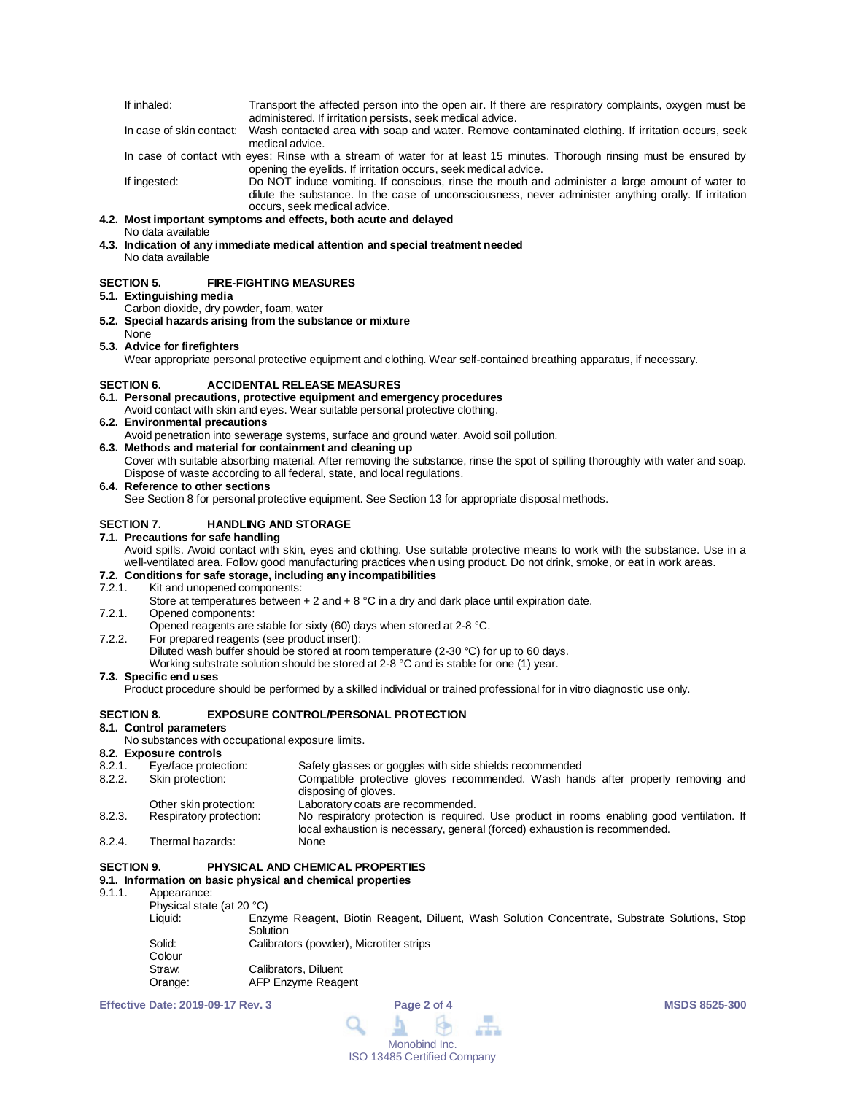| If inhaled: | Transport the affected person into the open air. If there are respiratory complaints, oxygen must be                       |
|-------------|----------------------------------------------------------------------------------------------------------------------------|
|             | administered. If irritation persists, seek medical advice.                                                                 |
|             | In case of skin contact: Wash contacted area with soap and water. Remove contaminated clothing. If irritation occurs, seek |
|             | medical advice.                                                                                                            |
|             | In case of contact with eyes: Rinse with a stream of water for at least 15 minutes. Thorough rinsing must be ensured by    |
|             | opening the eyelids. If irritation occurs, seek medical advice.                                                            |

If ingested: Do NOT induce vomiting. If conscious, rinse the mouth and administer a large amount of water to dilute the substance. In the case of unconsciousness, never administer anything orally. If irritation occurs, seek medical advice.

#### **4.2. Most important symptoms and effects, both acute and delayed**

No data available

**4.3. Indication of any immediate medical attention and special treatment needed** No data available

#### **SECTION 5. FIRE-FIGHTING MEASURES**

#### **5.1. Extinguishing media**

- Carbon dioxide, dry powder, foam, water
- **5.2. Special hazards arising from the substance or mixture** None
- **5.3. Advice for firefighters**

Wear appropriate personal protective equipment and clothing. Wear self-contained breathing apparatus, if necessary.

#### **SECTION 6. ACCIDENTAL RELEASE MEASURES**

#### **6.1. Personal precautions, protective equipment and emergency procedures**

- Avoid contact with skin and eyes. Wear suitable personal protective clothing.
- **6.2. Environmental precautions**
- Avoid penetration into sewerage systems, surface and ground water. Avoid soil pollution. **6.3. Methods and material for containment and cleaning up** Cover with suitable absorbing material. After removing the substance, rinse the spot of spilling thoroughly with water and soap. Dispose of waste according to all federal, state, and local regulations.

#### **6.4. Reference to other sections**

See Section 8 for personal protective equipment. See Section 13 for appropriate disposal methods.

#### **SECTION 7. HANDLING AND STORAGE 7.1. Precautions for safe handling**

Avoid spills. Avoid contact with skin, eyes and clothing. Use suitable protective means to work with the substance. Use in a well-ventilated area. Follow good manufacturing practices when using product. Do not drink, smoke, or eat in work areas.

## **7.2. Conditions for safe storage, including any incompatibilities**

Kit and unopened components: Store at temperatures between + 2 and + 8  $^{\circ}$ C in a dry and dark place until expiration date.

7.2.1. Opened components:

Opened reagents are stable for sixty (60) days when stored at 2-8 °C.

- 7.2.2. For prepared reagents (see product insert): Diluted wash buffer should be stored at room temperature (2-30 °C) for up to 60 days.
	- Working substrate solution should be stored at 2-8 °C and is stable for one (1) year.

#### **7.3. Specific end uses**

Product procedure should be performed by a skilled individual or trained professional for in vitro diagnostic use only.

#### **SECTION 8. EXPOSURE CONTROL/PERSONAL PROTECTION**

#### **8.1. Control parameters**

No substances with occupational exposure limits.

#### **8.2. Exposure controls**

| 8.2.1. | Eye/face protection:    | Safety glasses or goggles with side shields recommended                                                                                                                 |
|--------|-------------------------|-------------------------------------------------------------------------------------------------------------------------------------------------------------------------|
| 8.2.2. | Skin protection:        | Compatible protective gloves recommended. Wash hands after properly removing and<br>disposing of gloves.                                                                |
|        | Other skin protection:  | Laboratory coats are recommended.                                                                                                                                       |
| 8.2.3. | Respiratory protection: | No respiratory protection is required. Use product in rooms enabling good ventilation. If<br>local exhaustion is necessary, general (forced) exhaustion is recommended. |
| 8.2.4. | Thermal hazards:        | None                                                                                                                                                                    |

#### **SECTION 9. PHYSICAL AND CHEMICAL PROPERTIES 9.1. Information on basic physical and chemical properties**

### 9.1.1. Appearance:

Physical state (at 20 °C)

| FIIVSIU AI SIAIT IAI ZU U |                                                                                               |  |  |  |  |
|---------------------------|-----------------------------------------------------------------------------------------------|--|--|--|--|
| Liquid:                   | Enzyme Reagent, Biotin Reagent, Diluent, Wash Solution Concentrate, Substrate Solutions, Stop |  |  |  |  |
|                           | Solution                                                                                      |  |  |  |  |
| Solid:                    | Calibrators (powder), Microtiter strips                                                       |  |  |  |  |
| Colour                    |                                                                                               |  |  |  |  |
| Straw:                    | Calibrators. Diluent                                                                          |  |  |  |  |
| Orange:                   | AFP Enzyme Reagent                                                                            |  |  |  |  |

**Effective Date: 2019-09-17 Rev. 3 Page 2 of 4 MSDS 8525-300**

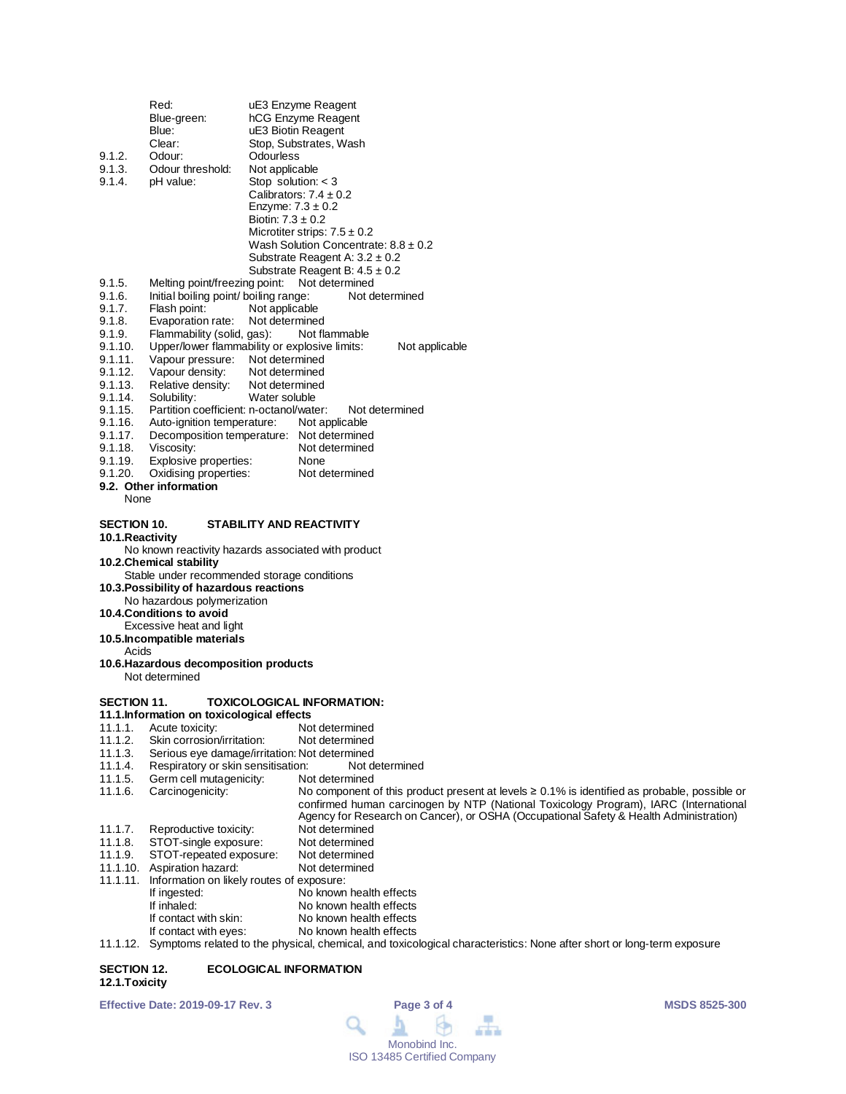| 9.1.2.<br>9.1.3.<br>9.1.4.                      | Red:<br>Blue-green:<br>Blue:<br>Clear:<br>Odour:<br>Odour threshold:<br>pH value:                                                                                                                                                                                                                      | uE3 Enzyme Reagent<br>hCG Enzyme Reagent<br>uE3 Biotin Reagent<br>Stop, Substrates, Wash<br>Odourless<br>Not applicable<br>Stop solution: $<$ 3<br>Calibrators: $7.4 \pm 0.2$<br>Enzyme: $7.3 \pm 0.2$<br>Biotin: $7.3 \pm 0.2$<br>Microtiter strips: $7.5 \pm 0.2$                 |
|-------------------------------------------------|--------------------------------------------------------------------------------------------------------------------------------------------------------------------------------------------------------------------------------------------------------------------------------------------------------|-------------------------------------------------------------------------------------------------------------------------------------------------------------------------------------------------------------------------------------------------------------------------------------|
|                                                 |                                                                                                                                                                                                                                                                                                        | Wash Solution Concentrate: $8.8 \pm 0.2$<br>Substrate Reagent A: $3.2 \pm 0.2$<br>Substrate Reagent B: $4.5 \pm 0.2$                                                                                                                                                                |
| 9.1.5.                                          | Melting point/freezing point:                                                                                                                                                                                                                                                                          | Not determined                                                                                                                                                                                                                                                                      |
| 9.1.6.                                          | Initial boiling point/ boiling range:                                                                                                                                                                                                                                                                  | Not determined                                                                                                                                                                                                                                                                      |
| 9.1.7.<br>9.1.8.                                | Flash point:<br>Evaporation rate:                                                                                                                                                                                                                                                                      | Not applicable<br>Not determined                                                                                                                                                                                                                                                    |
| 9.1.9.                                          | Flammability (solid, gas):                                                                                                                                                                                                                                                                             | Not flammable                                                                                                                                                                                                                                                                       |
| 9.1.10.                                         |                                                                                                                                                                                                                                                                                                        | Upper/lower flammability or explosive limits:<br>Not applicable                                                                                                                                                                                                                     |
| 9.1.11.                                         | Vapour pressure: Not determined                                                                                                                                                                                                                                                                        |                                                                                                                                                                                                                                                                                     |
| 9.1.12.                                         | Vapour density:                                                                                                                                                                                                                                                                                        | Not determined                                                                                                                                                                                                                                                                      |
| 9.1.13.<br>9.1.14.                              | Relative density:<br>Solubility:                                                                                                                                                                                                                                                                       | Not determined<br>Water soluble                                                                                                                                                                                                                                                     |
| 9.1.15.                                         | Partition coefficient: n-octanol/water:                                                                                                                                                                                                                                                                | Not determined                                                                                                                                                                                                                                                                      |
| 9.1.16.                                         | Auto-ignition temperature:                                                                                                                                                                                                                                                                             | Not applicable                                                                                                                                                                                                                                                                      |
| 9.1.17.                                         |                                                                                                                                                                                                                                                                                                        | Decomposition temperature: Not determined                                                                                                                                                                                                                                           |
| 9.1.18.<br>9.1.19.                              | Viscosity:                                                                                                                                                                                                                                                                                             | Not determined<br>None                                                                                                                                                                                                                                                              |
| 9.1.20.                                         | Explosive properties:<br>Oxidising properties:                                                                                                                                                                                                                                                         | Not determined                                                                                                                                                                                                                                                                      |
|                                                 | 9.2. Other information                                                                                                                                                                                                                                                                                 |                                                                                                                                                                                                                                                                                     |
| None                                            |                                                                                                                                                                                                                                                                                                        |                                                                                                                                                                                                                                                                                     |
| <b>SECTION 10.</b><br>10.1. Reactivity<br>Acids | 10.2.Chemical stability<br>Stable under recommended storage conditions<br>10.3. Possibility of hazardous reactions<br>No hazardous polymerization<br>10.4. Conditions to avoid<br>Excessive heat and light<br>10.5. Incompatible materials<br>10.6. Hazardous decomposition products<br>Not determined | STABILITY AND REACTIVITY<br>No known reactivity hazards associated with product                                                                                                                                                                                                     |
| <b>SECTION 11.</b>                              |                                                                                                                                                                                                                                                                                                        | <b>TOXICOLOGICAL INFORMATION:</b>                                                                                                                                                                                                                                                   |
| 11.1.1.                                         | 11.1.Information on toxicological effects<br>Acute toxicity:                                                                                                                                                                                                                                           | Not determined                                                                                                                                                                                                                                                                      |
| 11.1.2.                                         | Skin corrosion/irritation:                                                                                                                                                                                                                                                                             | Not determined                                                                                                                                                                                                                                                                      |
| 11.1.3.                                         |                                                                                                                                                                                                                                                                                                        | Serious eye damage/irritation: Not determined                                                                                                                                                                                                                                       |
| 11.1.4.                                         | Respiratory or skin sensitisation:                                                                                                                                                                                                                                                                     | Not determined                                                                                                                                                                                                                                                                      |
| 11.1.5.                                         | Germ cell mutagenicity:                                                                                                                                                                                                                                                                                | Not determined                                                                                                                                                                                                                                                                      |
| 11.1.6.                                         | Carcinogenicity:                                                                                                                                                                                                                                                                                       | No component of this product present at levels $\geq 0.1\%$ is identified as probable, possible or<br>confirmed human carcinogen by NTP (National Toxicology Program), IARC (International<br>Agency for Research on Cancer), or OSHA (Occupational Safety & Health Administration) |
| 11.1.7.                                         | Reproductive toxicity:                                                                                                                                                                                                                                                                                 | Not determined                                                                                                                                                                                                                                                                      |
| 11.1.8.                                         | STOT-single exposure:                                                                                                                                                                                                                                                                                  | Not determined                                                                                                                                                                                                                                                                      |
| 11.1.9.                                         | STOT-repeated exposure:                                                                                                                                                                                                                                                                                | Not determined                                                                                                                                                                                                                                                                      |
| 11.1.10.                                        | Aspiration hazard:                                                                                                                                                                                                                                                                                     | Not determined                                                                                                                                                                                                                                                                      |
| 11.1.11.                                        | Information on likely routes of exposure:<br>If ingested:                                                                                                                                                                                                                                              | No known health effects                                                                                                                                                                                                                                                             |
|                                                 | If inhaled:                                                                                                                                                                                                                                                                                            | No known health effects                                                                                                                                                                                                                                                             |
|                                                 | If contact with skin:                                                                                                                                                                                                                                                                                  | No known health effects                                                                                                                                                                                                                                                             |
|                                                 | If contact with eyes:                                                                                                                                                                                                                                                                                  | No known health effects                                                                                                                                                                                                                                                             |

11.1.12. Symptoms related to the physical, chemical, and toxicological characteristics: None after short or long-term exposure

#### **SECTION 12. ECOLOGICAL INFORMATION 12.1.Toxicity**